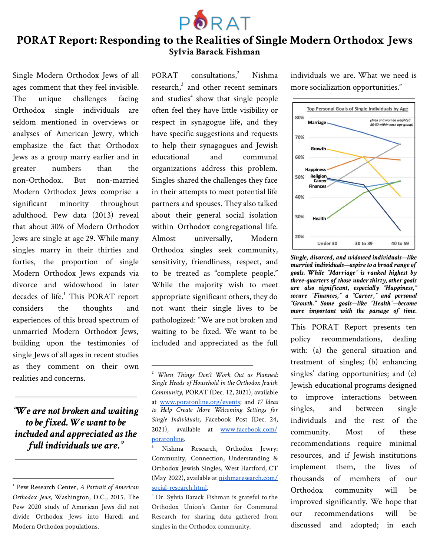

# **PORAT Report: Responding to the Realities of Single Modern Orthodox Jews Sylvia Barack Fishman**

Single Modern Orthodox Jews of all ages comment that they feel invisible. The unique challenges facing Orthodox single individuals are seldom mentioned in overviews or analyses of American Jewry, which emphasize the fact that Orthodox Jews as a group marry earlier and in greater numbers than the non-Orthodox. But non-married Modern Orthodox Jews comprise a significant minority throughout adulthood. Pew data (2013) reveal that about 30% of Modern Orthodox Jews are single at age 29. While many singles marry in their thirties and forties, the proportion of single Modern Orthodox Jews expands via divorce and widowhood in later decades of life.<sup>1</sup> This PORAT report considers the thoughts and experiences of this broad spectrum of unmarried Modern Orthodox Jews, building upon the testimonies of single Jews of all ages in recent studies as they comment on their own realities and concerns.

*"We are not broken and waiting to be fixed. We want to be included and appreciated as the full individuals we are."*

PORAT consultations.<sup>2</sup> Nishma research, $3$  and other recent seminars and studies<sup>4</sup> show that single people often feel they have little visibility or respect in synagogue life, and they have specific suggestions and requests to help their synagogues and Jewish educational and communal organizations address this problem. Singles shared the challenges they face in their attempts to meet potential life partners and spouses. They also talked about their general social isolation within Orthodox congregational life. Almost universally, Modern Orthodox singles seek community, sensitivity, friendliness, respect, and to be treated as "complete people." While the majority wish to meet appropriate significant others, they do not want their single lives to be pathologized: "We are not broken and waiting to be fixed. We want to be included and appreciated as the full

individuals we are. What we need is more socialization opportunities."



*Single, divorced, and widowed individuals—like married individuals—aspireto a broad rangeof goals. While "Marriage" is ranked highest by three-quarters of those under thirty,other goals are also significant, especially "Happiness," secure "Finances," a "Career," and personal "Growth." Some goals—like "Health"—become more important with the passage of time.*

This PORAT Report presents ten policy recommendations, dealing with: (a) the general situation and treatment of singles; (b) enhancing singles' dating opportunities; and (c) Jewish educational programs designed to improve interactions between singles, and between single individuals and the rest of the community. Most of these recommendations require minimal resources, and if Jewish institutions implement them, the lives of thousands of members of our Orthodox community will be improved significantly. We hope that our recommendations will be discussed and adopted; in each

<sup>1</sup> Pew Research Center, *A Portrait of American Orthodox Jews,* Washington, D.C., 2015. The Pew 2020 study of American Jews did not divide Orthodox Jews into Haredi and Modern Orthodox populations.

<sup>2</sup> *When Things Don't Work Out as Planned: Single Heads of Household in the Orthodox Jewish Community*, PORAT (Dec. 12, 2021), available at [www.poratonline.org/events;](http://www.poratonline.org/events) and *17 Ideas to Help Create More Welcoming Settings for Single Individuals*, Facebook Post (Dec. 24, 2021), available at [www.facebook.com/](http://www.facebook.com/poratonline) [poratonline.](http://www.facebook.com/poratonline)

<sup>&</sup>lt;sup>3</sup> Nishma Research, Orthodox Jewry: Community, Connection, Understanding & Orthodox Jewish Singles, West Hartford, CT (May 2022), available at [nishmaresearch.com/](http://nishmaresearch.com/social-research.html) [social-research.html.](http://nishmaresearch.com/social-research.html)

<sup>4</sup> Dr. Sylvia Barack Fishman is grateful to the Orthodox Union's Center for Communal Research for sharing data gathered from singles in the Orthodox community.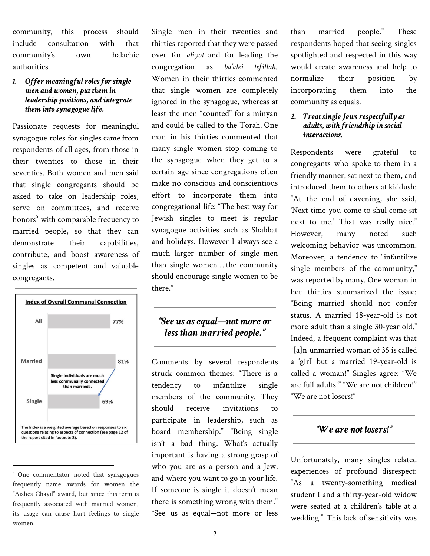community, this process should include consultation with that community's own halachic authorities.

#### *1. Offer meaningful roles for single men and women, put them in leadership positions, and integrate them into synagogue life.*

Passionate requests for meaningful synagogue roles for singles came from respondents of all ages, from those in their twenties to those in their seventies. Both women and men said that single congregants should be asked to take on leadership roles, serve on committees, and receive honors<sup>5</sup> with comparable frequency to married people, so that they can demonstrate their capabilities, contribute, and boost awareness of singles as competent and valuable congregants.



<sup>&</sup>lt;sup>5</sup> One commentator noted that synagogues frequently name awards for women the "Aishes Chayil" award, but since this term is frequently associated with married women, its usage can cause hurt feelings to single women.

Single men in their twenties and thirties reported that they were passed over for *aliyot* and for leading the congregation as *ba'alei tefillah*. Women in their thirties commented that single women are completely ignored in the synagogue, whereas at least the men "counted" for a minyan and could be called to the Torah. One man in his thirties commented that many single women stop coming to the synagogue when they get to a certain age since congregations often make no conscious and conscientious effort to incorporate them into congregational life: "The best way for Jewish singles to meet is regular synagogue activities such as Shabbat and holidays. However I always see a much larger number of single men than single women….the community should encourage single women to be there."

## *"See us as equal—not more or less than married people."*

Comments by several respondents struck common themes: "There is a tendency to infantilize single members of the community. They should receive invitations to participate in leadership, such as board membership." "Being single isn't a bad thing. What's actually important is having a strong grasp of who you are as a person and a Jew, and where you want to go in your life. If someone is single it doesn't mean there is something wrong with them." "See us as equal—not more or less than married people." These respondents hoped that seeing singles spotlighted and respected in this way would create awareness and help to normalize their position by incorporating them into the community as equals.

#### *2. Treat single Jews respectfully as adults, with friendship in social interactions.*

Respondents were grateful to congregants who spoke to them in a friendly manner, sat next to them, and introduced them to others at kiddush: "At the end of davening, she said, 'Next time you come to shul come sit next to me.' That was really nice." However, many noted such welcoming behavior was uncommon. Moreover, a tendency to "infantilize single members of the community," was reported by many. One woman in her thirties summarized the issue: "Being married should not confer status. A married 18-year-old is not more adult than a single 30-year old." Indeed, a frequent complaint was that "[a]n unmarried woman of 35 is called a 'girl' but a married 19-year-old is called a woman!" Singles agree: "We are full adults!" "We are not children!" "We are not losers!"

### *"We are not losers!"*

Unfortunately, many singles related experiences of profound disrespect: "As a twenty-something medical student I and a thirty-year-old widow were seated at a children's table at a wedding." This lack of sensitivity was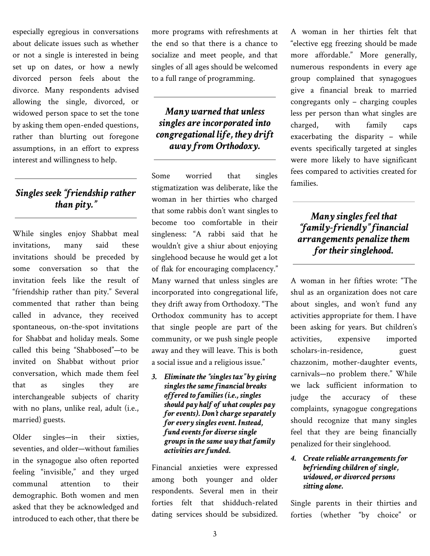especially egregious in conversations about delicate issues such as whether or not a single is interested in being set up on dates, or how a newly divorced person feels about the divorce. Many respondents advised allowing the single, divorced, or widowed person space to set the tone by asking them open-ended questions, rather than blurting out foregone assumptions, in an effort to express interest and willingness to help.

## *Singles seek "friendship rather than pity."*

While singles enjoy Shabbat meal invitations, many said these invitations should be preceded by some conversation so that the invitation feels like the result of "friendship rather than pity." Several commented that rather than being called in advance, they received spontaneous, on-the-spot invitations for Shabbat and holiday meals. Some called this being "Shabbosed"—to be invited on Shabbat without prior conversation, which made them feel that as singles they are interchangeable subjects of charity with no plans, unlike real, adult (i.e., married) guests.

Older singles—in their sixties, seventies, and older—without families in the synagogue also often reported feeling "invisible," and they urged communal attention to their demographic. Both women and men asked that they be acknowledged and introduced to each other, that there be more programs with refreshments at the end so that there is a chance to socialize and meet people, and that singles of all ages should be welcomed to a full range of programming.

### *Many warned that unless singles are incorporated into congregational life, they drift away from Orthodoxy.*

Some worried that singles stigmatization was deliberate, like the woman in her thirties who charged that some rabbis don't want singles to become too comfortable in their singleness: "A rabbi said that he wouldn't give a shiur about enjoying singlehood because he would get a lot of flak for encouraging complacency." Many warned that unless singles are incorporated into congregational life, they drift away from Orthodoxy. "The Orthodox community has to accept that single people are part of the community, or we push single people away and they will leave. This is both a social issue and a religious issue."

*3. Eliminate the "singles tax" by giving singles the same financial breaks offered to families (i.e., singles should pay half of what couples pay for events). Don't charge separately for every singles event. Instead, fund events for diverse single groups in the same way that family activities are funded.*

Financial anxieties were expressed among both younger and older respondents. Several men in their forties felt that shidduch-related dating services should be subsidized.

A woman in her thirties felt that "elective egg freezing should be made more affordable." More generally, numerous respondents in every age group complained that synagogues give a financial break to married congregants only – charging couples less per person than what singles are charged, with family caps exacerbating the disparity – while events specifically targeted at singles were more likely to have significant fees compared to activities created for families.

# *Many singles feel that "family-friendly" financial arrangements penalize them for their singlehood.*

A woman in her fifties wrote: "The shul as an organization does not care about singles, and won't fund any activities appropriate for them. I have been asking for years. But children's activities, expensive imported scholars-in-residence, guest chazzonim, mother-daughter events, carnivals—no problem there." While we lack sufficient information to judge the accuracy of these complaints, synagogue congregations should recognize that many singles feel that they are being financially penalized for their singlehood.

#### *4. Create reliable arrangements for befriending children of single, widowed, or divorced persons sitting alone.*

Single parents in their thirties and forties (whether "by choice" or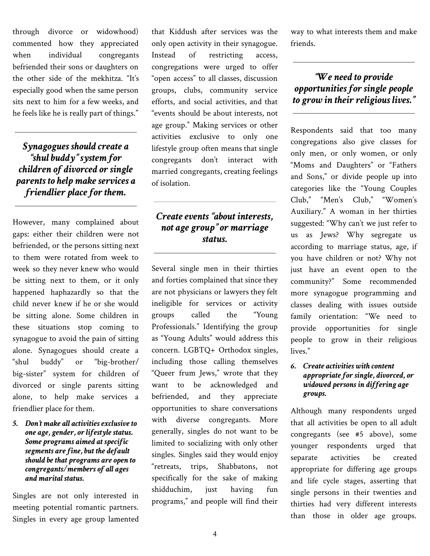through divorce or widowhood) commented how they appreciated when individual congregants befriended their sons or daughters on the other side of the mekhitza. "It's especially good when the same person sits next to him for a few weeks, and he feels like he is really part of things."

*Synagogues should create a "shul buddy" system for children of divorced or single parents to help make services a friendlier place for them.*

However, many complained about gaps: either their children were not befriended, or the persons sitting next to them were rotated from week to week so they never knew who would be sitting next to them, or it only happened haphazardly so that the child never knew if he or she would be sitting alone. Some children in these situations stop coming to synagogue to avoid the pain of sitting alone. Synagogues should create a "shul buddy" or "big-brother/ big-sister" system for children of divorced or single parents sitting alone, to help make services a friendlier place for them.

*5. Don't make all activities exclusive to one age, gender, or lifestyle status. Some programs aimed at specific segments are fine, but the default should be that programs are open to congregants/members of all ages and marital status.*

Singles are not only interested in meeting potential romantic partners. Singles in every age group lamented that Kiddush after services was the only open activity in their synagogue. Instead of restricting access, congregations were urged to offer "open access" to all classes, discussion groups, clubs, community service efforts, and social activities, and that "events should be about interests, not age group." Making services or other activities exclusive to only one lifestyle group often means that single congregants don't interact with married congregants, creating feelings of isolation.

## *Create events "about interests, not age group" or marriage status.*

Several single men in their thirties and forties complained that since they are not physicians or lawyers they felt ineligible for services or activity groups called the "Young Professionals." Identifying the group as "Young Adults" would address this concern. LGBTQ+ Orthodox singles, including those calling themselves "Queer frum Jews," wrote that they want to be acknowledged and befriended, and they appreciate opportunities to share conversations with diverse congregants. More generally, singles do not want to be limited to socializing with only other singles. Singles said they would enjoy "retreats, trips, Shabbatons, not specifically for the sake of making shidduchim, just having fun programs," and people will find their

way to what interests them and make friends.

## *"We need to provide opportunities for single people to grow in their religious lives."*

Respondents said that too many congregations also give classes for only men, or only women, or only "Moms and Daughters" or "Fathers and Sons," or divide people up into categories like the "Young Couples Club," "Men's Club," "Women's Auxiliary." A woman in her thirties suggested: "Why can't we just refer to us as Jews? Why segregate us according to marriage status, age, if you have children or not? Why not just have an event open to the community?" Some recommended more synagogue programming and classes dealing with issues outside family orientation: "We need to provide opportunities for single people to grow in their religious lives."

#### *6. Create activities with content appropriate for single, divorced, or widowed persons in differing age groups.*

Although many respondents urged that all activities be open to all adult congregants (see #5 above), some younger respondents urged that separate activities be created appropriate for differing age groups and life cycle stages, asserting that single persons in their twenties and thirties had very different interests than those in older age groups.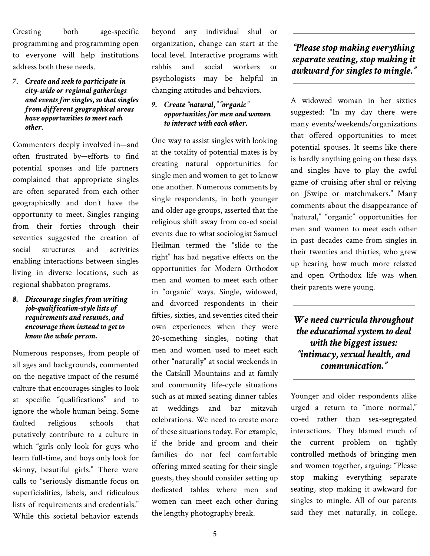Creating both age-specific programming and programming open to everyone will help institutions address both these needs.

#### *7. Create and seek to participate in city-wide or regional gatherings and events for singles, so that singles from different geographical areas have opportunities to meet each other.*

Commenters deeply involved in—and often frustrated by—efforts to find potential spouses and life partners complained that appropriate singles are often separated from each other geographically and don't have the opportunity to meet. Singles ranging from their forties through their seventies suggested the creation of social structures and activities enabling interactions between singles living in diverse locations, such as regional shabbaton programs.

#### *8. Discourage singles from writing job-qualification-style lists of requirements and resumés, and encourage them instead to get to know the whole person.*

Numerous responses, from people of all ages and backgrounds, commented on the negative impact of the resumé culture that encourages singles to look at specific "qualifications" and to ignore the whole human being. Some faulted religious schools that putatively contribute to a culture in which "girls only look for guys who learn full-time, and boys only look for skinny, beautiful girls." There were calls to "seriously dismantle focus on superficialities, labels, and ridiculous lists of requirements and credentials." While this societal behavior extends

beyond any individual shul or organization, change can start at the local level. Interactive programs with rabbis and social workers or psychologists may be helpful in changing attitudes and behaviors.

*9. Create "natural," "organic" opportunities for men and women to interact with each other.*

One way to assist singles with looking at the totality of potential mates is by creating natural opportunities for single men and women to get to know one another. Numerous comments by single respondents, in both younger and older age groups, asserted that the religious shift away from co-ed social events due to what sociologist Samuel Heilman termed the "slide to the right" has had negative effects on the opportunities for Modern Orthodox men and women to meet each other in "organic" ways. Single, widowed, and divorced respondents in their fifties, sixties, and seventies cited their own experiences when they were 20-something singles, noting that men and women used to meet each other "naturally" at social weekends in the Catskill Mountains and at family and community life-cycle situations such as at mixed seating dinner tables at weddings and bar mitzvah celebrations. We need to create more of these situations today. For example, if the bride and groom and their families do not feel comfortable offering mixed seating for their single guests, they should consider setting up dedicated tables where men and women can meet each other during the lengthy photography break.

*"Please stop making everything separate seating, stop making it awkward for singles to mingle."*

A widowed woman in her sixties suggested: "In my day there were many events/weekends/organizations that offered opportunities to meet potential spouses. It seems like there is hardly anything going on these days and singles have to play the awful game of cruising after shul or relying on JSwipe or matchmakers." Many comments about the disappearance of "natural," "organic" opportunities for men and women to meet each other in past decades came from singles in their twenties and thirties, who grew up hearing how much more relaxed and open Orthodox life was when their parents were young.

*We need curricula throughout the educational system to deal with the biggest issues: "intimacy, sexual health, and communication."*

Younger and older respondents alike urged a return to "more normal," co-ed rather than sex-segregated interactions. They blamed much of the current problem on tightly controlled methods of bringing men and women together, arguing: "Please stop making everything separate seating, stop making it awkward for singles to mingle. All of our parents said they met naturally, in college,